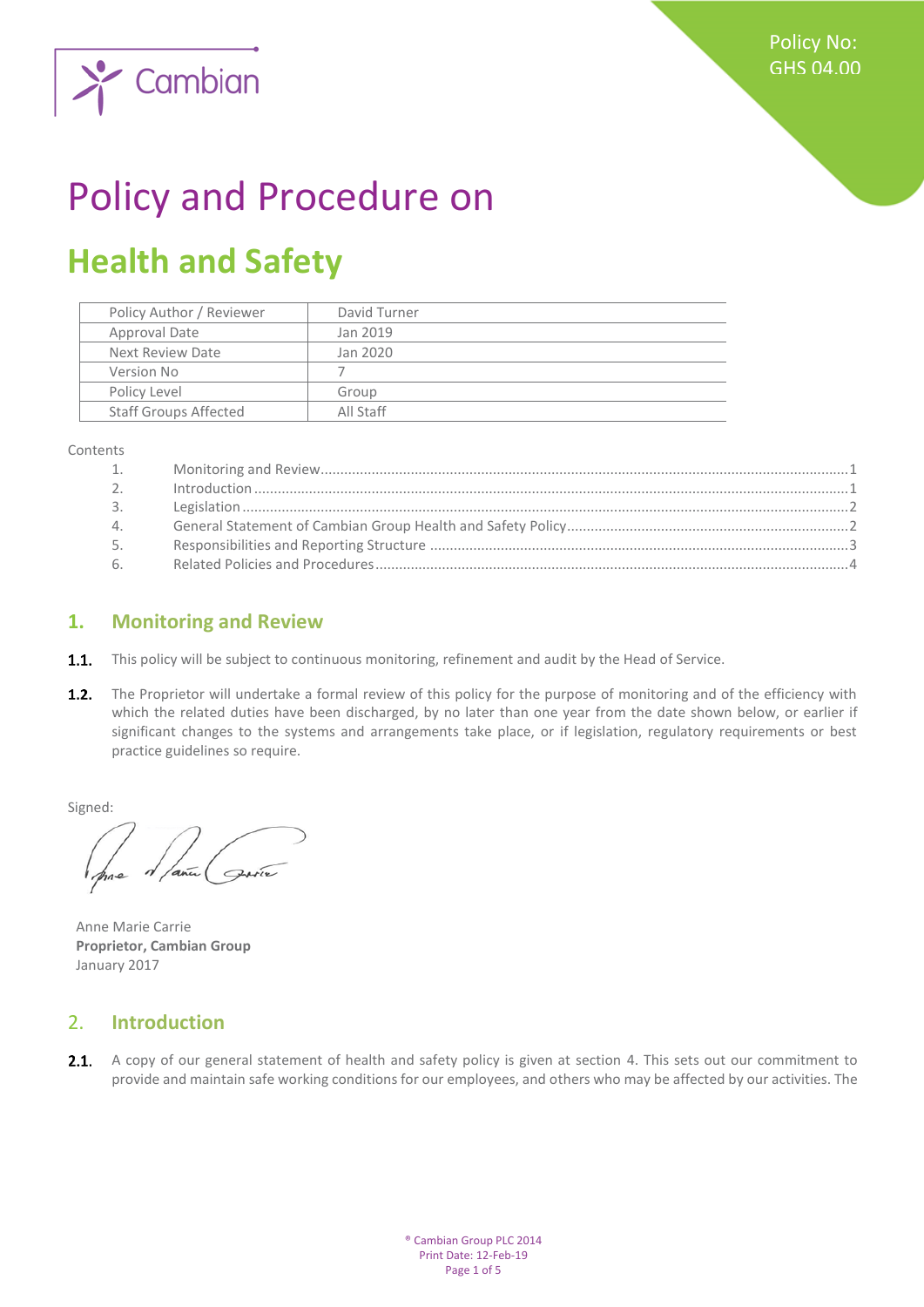

# Policy and Procedure on

# **Health and Safety**

| Policy Author / Reviewer     | David Turner |
|------------------------------|--------------|
| Approval Date                | Jan 2019     |
| Next Review Date             | Jan 2020     |
| Version No                   |              |
| Policy Level                 | Group        |
| <b>Staff Groups Affected</b> | All Staff    |
|                              |              |

Contents

| 1.      |  |
|---------|--|
| $2^{1}$ |  |
| 3.      |  |
| 4.      |  |
| 5.      |  |
| 6.      |  |

### <span id="page-0-0"></span>**1. Monitoring and Review**

- **1.1.** This policy will be subject to continuous monitoring, refinement and audit by the Head of Service.
- $1.2.$ The Proprietor will undertake a formal review of this policy for the purpose of monitoring and of the efficiency with which the related duties have been discharged, by no later than one year from the date shown below, or earlier if significant changes to the systems and arrangements take place, or if legislation, regulatory requirements or best practice guidelines so require.

Signed:

Anne Marie Carrie **Proprietor, Cambian Group** January 2017

#### <span id="page-0-1"></span>2. **Introduction**

 $2.1.$ A copy of our general statement of health and safety policy is given at section 4. This sets out our commitment to provide and maintain safe working conditions for our employees, and others who may be affected by our activities. The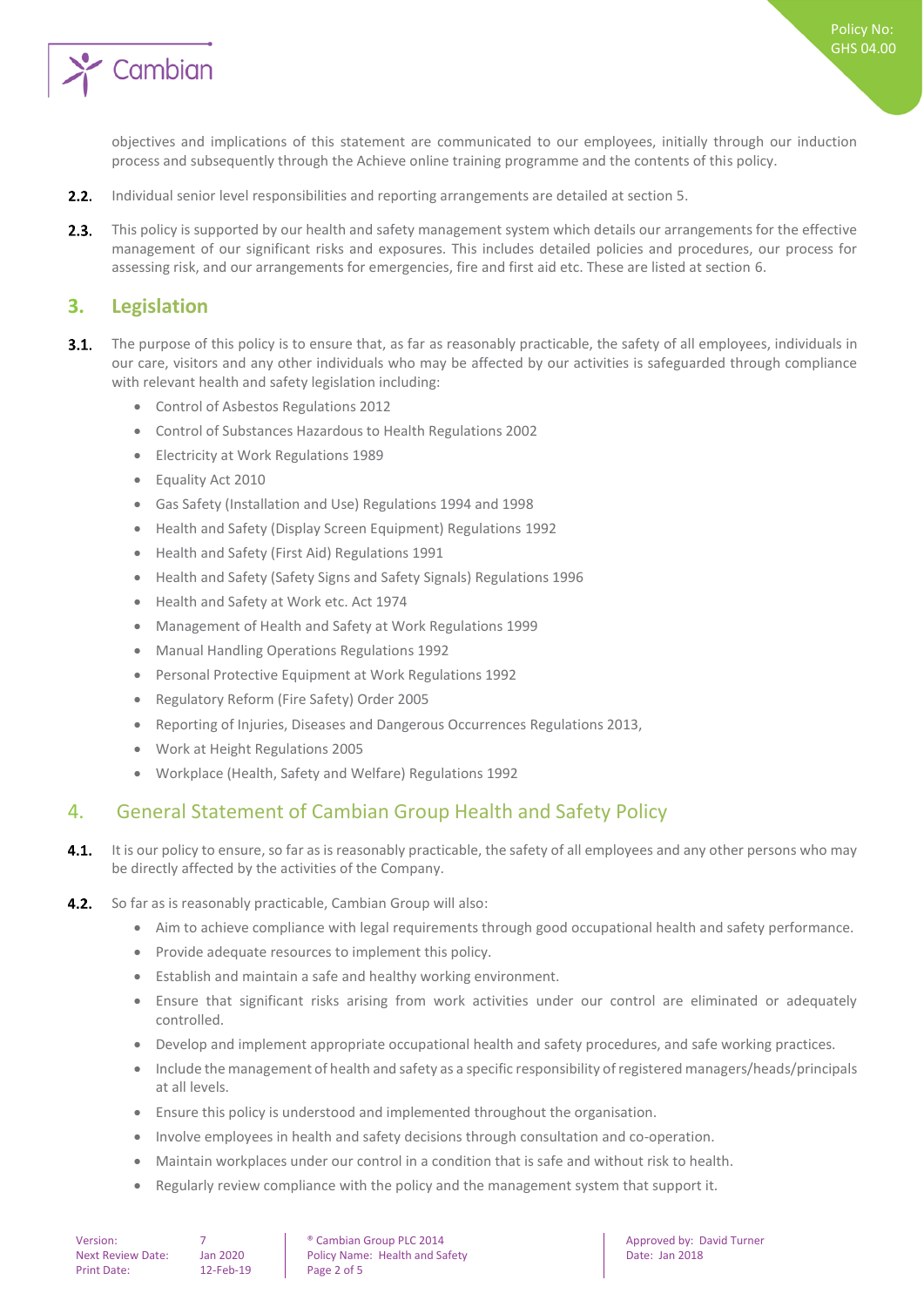

objectives and implications of this statement are communicated to our employees, initially through our induction process and subsequently through the Achieve online training programme and the contents of this policy.

- $2.2.$ Individual senior level responsibilities and reporting arrangements are detailed at section 5.
- $2.3.$ This policy is supported by our health and safety management system which details our arrangements for the effective management of our significant risks and exposures. This includes detailed policies and procedures, our process for assessing risk, and our arrangements for emergencies, fire and first aid etc. These are listed at section 6.

#### <span id="page-1-0"></span>**3. Legislation**

- $3.1.$ The purpose of this policy is to ensure that, as far as reasonably practicable, the safety of all employees, individuals in our care, visitors and any other individuals who may be affected by our activities is safeguarded through compliance with relevant health and safety legislation including:
	- Control of Asbestos Regulations 2012
	- Control of Substances Hazardous to Health Regulations 2002
	- Electricity at Work Regulations 1989
	- Equality Act 2010
	- Gas Safety (Installation and Use) Regulations 1994 and 1998
	- Health and Safety (Display Screen Equipment) Regulations 1992
	- Health and Safety (First Aid) Regulations 1991
	- Health and Safety (Safety Signs and Safety Signals) Regulations 1996
	- Health and Safety at Work etc. Act 1974
	- Management of Health and Safety at Work Regulations 1999
	- Manual Handling Operations Regulations 1992
	- Personal Protective Equipment at Work Regulations 1992
	- Regulatory Reform (Fire Safety) Order 2005
	- Reporting of Injuries, Diseases and Dangerous Occurrences Regulations 2013,
	- Work at Height Regulations 2005
	- Workplace (Health, Safety and Welfare) Regulations 1992

#### <span id="page-1-1"></span>4. General Statement of Cambian Group Health and Safety Policy

- $4.1.$ It is our policy to ensure, so far as is reasonably practicable, the safety of all employees and any other persons who may be directly affected by the activities of the Company.
- $4.2.$ So far as is reasonably practicable, Cambian Group will also:
	- Aim to achieve compliance with legal requirements through good occupational health and safety performance.
	- Provide adequate resources to implement this policy.
	- Establish and maintain a safe and healthy working environment.
	- Ensure that significant risks arising from work activities under our control are eliminated or adequately controlled.
	- Develop and implement appropriate occupational health and safety procedures, and safe working practices.
	- Include the management of health and safety as a specific responsibility of registered managers/heads/principals at all levels.
	- Ensure this policy is understood and implemented throughout the organisation.
	- Involve employees in health and safety decisions through consultation and co-operation.
	- Maintain workplaces under our control in a condition that is safe and without risk to health.
	- Regularly review compliance with the policy and the management system that support it.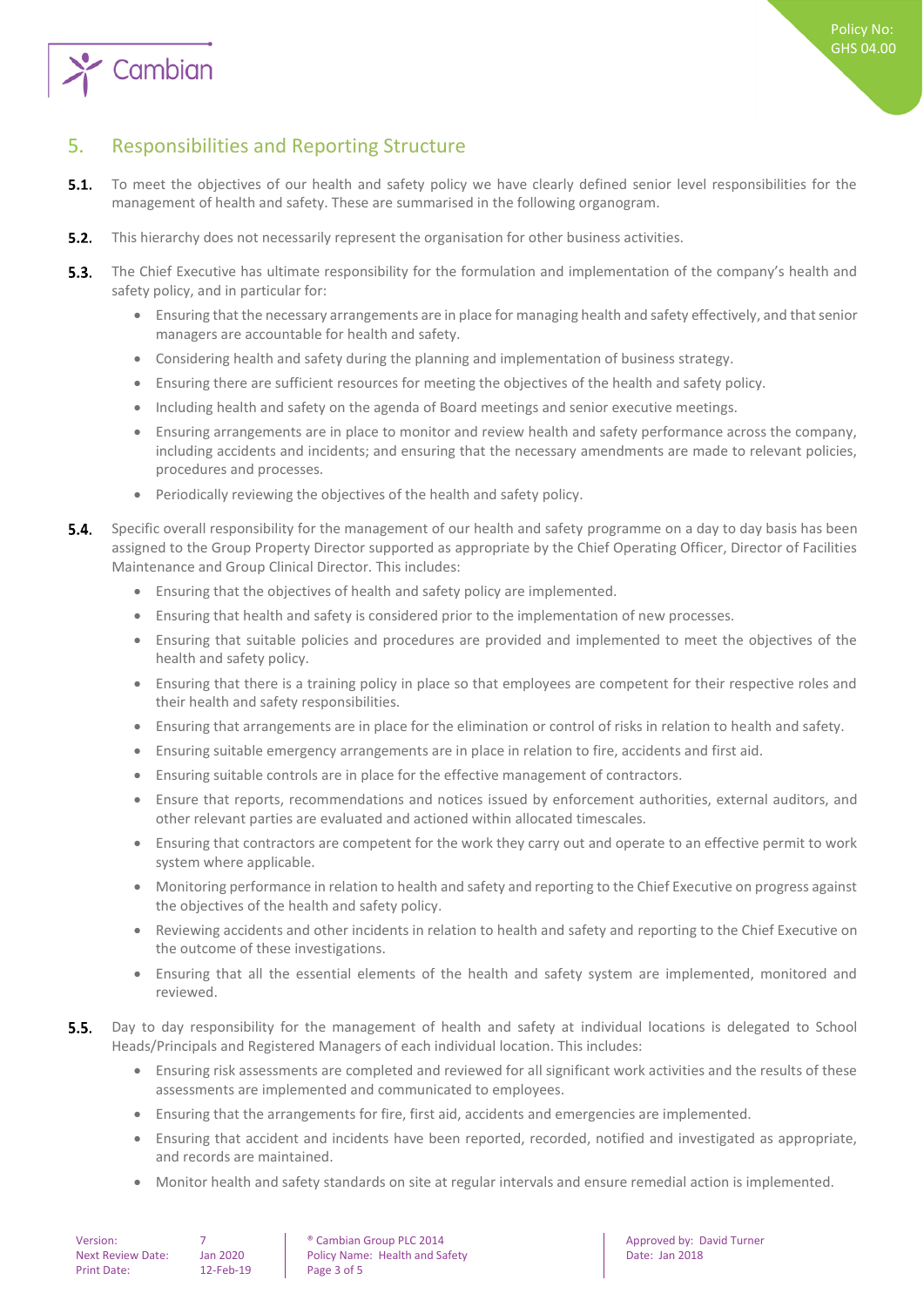

## <span id="page-2-0"></span>5. Responsibilities and Reporting Structure

- $5.1.$ To meet the objectives of our health and safety policy we have clearly defined senior level responsibilities for the management of health and safety. These are summarised in the following organogram.
- $5.2.$ This hierarchy does not necessarily represent the organisation for other business activities.
- $5.3.$ The Chief Executive has ultimate responsibility for the formulation and implementation of the company's health and safety policy, and in particular for:
	- Ensuring that the necessary arrangements are in place for managing health and safety effectively, and that senior managers are accountable for health and safety.
	- Considering health and safety during the planning and implementation of business strategy.
	- Ensuring there are sufficient resources for meeting the objectives of the health and safety policy.
	- Including health and safety on the agenda of Board meetings and senior executive meetings.
	- Ensuring arrangements are in place to monitor and review health and safety performance across the company, including accidents and incidents; and ensuring that the necessary amendments are made to relevant policies, procedures and processes.
	- Periodically reviewing the objectives of the health and safety policy.
- $5.4.$ Specific overall responsibility for the management of our health and safety programme on a day to day basis has been assigned to the Group Property Director supported as appropriate by the Chief Operating Officer, Director of Facilities Maintenance and Group Clinical Director. This includes:
	- Ensuring that the objectives of health and safety policy are implemented.
	- Ensuring that health and safety is considered prior to the implementation of new processes.
	- Ensuring that suitable policies and procedures are provided and implemented to meet the objectives of the health and safety policy.
	- Ensuring that there is a training policy in place so that employees are competent for their respective roles and their health and safety responsibilities.
	- Ensuring that arrangements are in place for the elimination or control of risks in relation to health and safety.
	- Ensuring suitable emergency arrangements are in place in relation to fire, accidents and first aid.
	- Ensuring suitable controls are in place for the effective management of contractors.
	- Ensure that reports, recommendations and notices issued by enforcement authorities, external auditors, and other relevant parties are evaluated and actioned within allocated timescales.
	- Ensuring that contractors are competent for the work they carry out and operate to an effective permit to work system where applicable.
	- Monitoring performance in relation to health and safety and reporting to the Chief Executive on progress against the objectives of the health and safety policy.
	- Reviewing accidents and other incidents in relation to health and safety and reporting to the Chief Executive on the outcome of these investigations.
	- Ensuring that all the essential elements of the health and safety system are implemented, monitored and reviewed.
- $5.5.$ Day to day responsibility for the management of health and safety at individual locations is delegated to School Heads/Principals and Registered Managers of each individual location. This includes:
	- Ensuring risk assessments are completed and reviewed for all significant work activities and the results of these assessments are implemented and communicated to employees.
	- Ensuring that the arrangements for fire, first aid, accidents and emergencies are implemented.
	- Ensuring that accident and incidents have been reported, recorded, notified and investigated as appropriate, and records are maintained.
	- Monitor health and safety standards on site at regular intervals and ensure remedial action is implemented.

| Version:                 |        |
|--------------------------|--------|
| <b>Next Review Date:</b> | Jan    |
| Print Date:              | $12 -$ |

• Cambian Group PLC 2014 **Approved by: David Turner Approved by: David Turner** 2020 Policy Name: Health and Safety **Date: Jan 2018** Date: Jan 2018  $-$  Feb-19 Page 3 of 5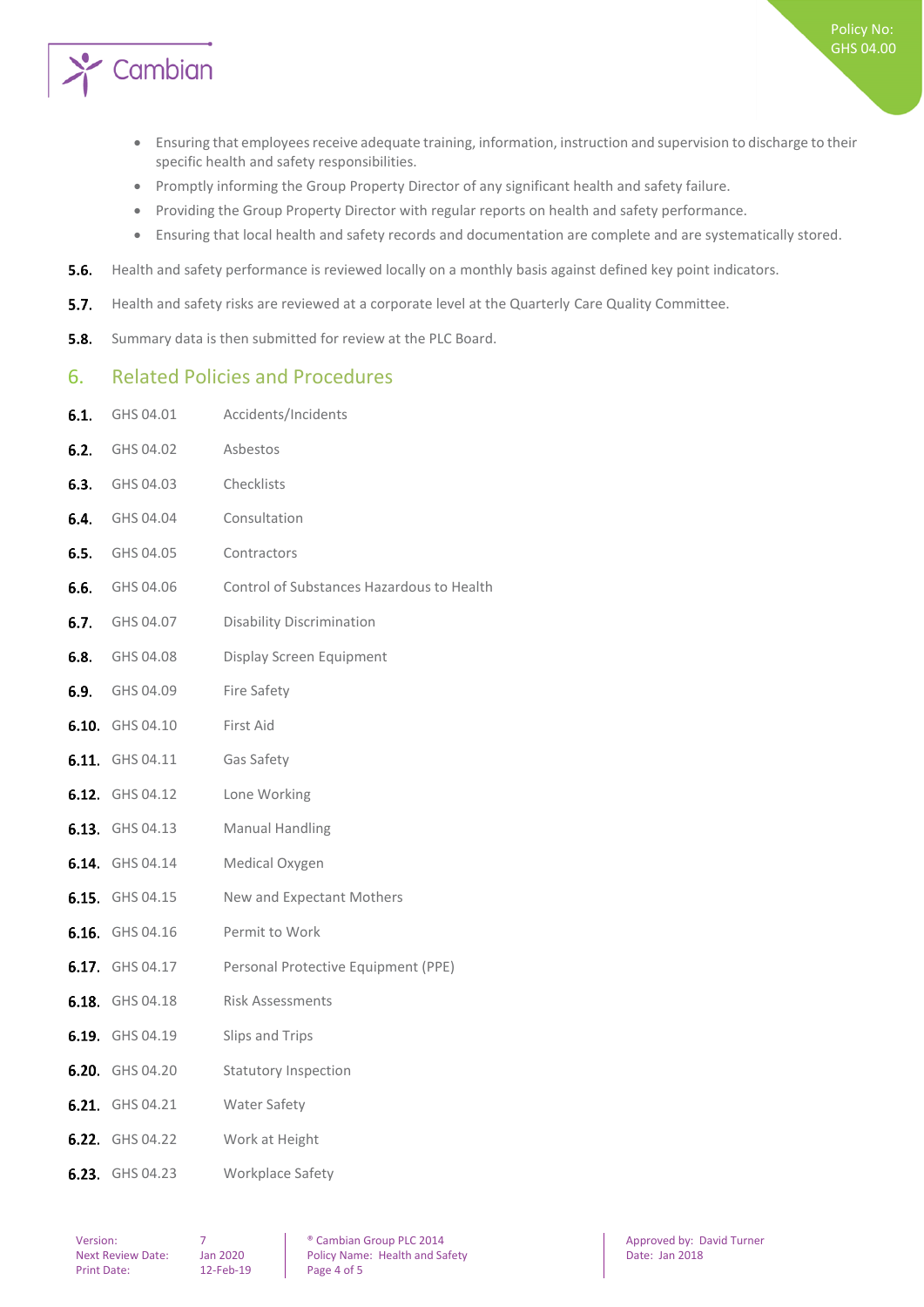

- Ensuring that employees receive adequate training, information, instruction and supervision to discharge to their specific health and safety responsibilities.
- Promptly informing the Group Property Director of any significant health and safety failure.
- Providing the Group Property Director with regular reports on health and safety performance.
- Ensuring that local health and safety records and documentation are complete and are systematically stored.
- $5.6.$ Health and safety performance is reviewed locally on a monthly basis against defined key point indicators.
- $5.7.$ Health and safety risks are reviewed at a corporate level at the Quarterly Care Quality Committee.
- <span id="page-3-0"></span> $5.8.$ Summary data is then submitted for review at the PLC Board.

#### 6. Related Policies and Procedures

6.1. GHS 04.01 Accidents/Incidents

| <b>6.2.</b> GHS 04.02  | Asbestos                                                   |
|------------------------|------------------------------------------------------------|
| <b>6.3.</b> GHS 04.03  | Checklists                                                 |
| <b>6.4.</b> GHS 04.04  | Consultation                                               |
| <b>6.5.</b> GHS 04.05  | Contractors                                                |
| <b>6.6.</b> GHS 04.06  | Control of Substances Hazardous to Health                  |
| <b>6.7.</b> GHS 04.07  | <b>Disability Discrimination</b>                           |
| <b>6.8.</b> GHS 04.08  | Display Screen Equipment                                   |
| <b>6.9.</b> GHS 04.09  | Fire Safety                                                |
| 6.10. GHS 04.10        | First Aid                                                  |
| <b>6.11.</b> GHS 04.11 | Gas Safety                                                 |
| <b>6.12.</b> GHS 04.12 | Lone Working                                               |
| <b>6.13.</b> GHS 04.13 | <b>Manual Handling</b>                                     |
| <b>6.14.</b> GHS 04.14 | Medical Oxygen                                             |
| <b>6.15.</b> GHS 04.15 | New and Expectant Mothers                                  |
| 6.16. GHS 04.16        | Permit to Work                                             |
|                        | <b>6.17.</b> GHS 04.17 Personal Protective Equipment (PPE) |
| 6.18. GHS 04.18        | <b>Risk Assessments</b>                                    |
| 6.19. GHS 04.19        | Slips and Trips                                            |
| <b>6.20.</b> GHS 04.20 | <b>Statutory Inspection</b>                                |
| 6.21. GHS 04.21        | Water Safety                                               |
| <b>6.22.</b> GHS 04.22 | Work at Height                                             |
| 6.23. GHS 04.23        | Workplace Safety                                           |